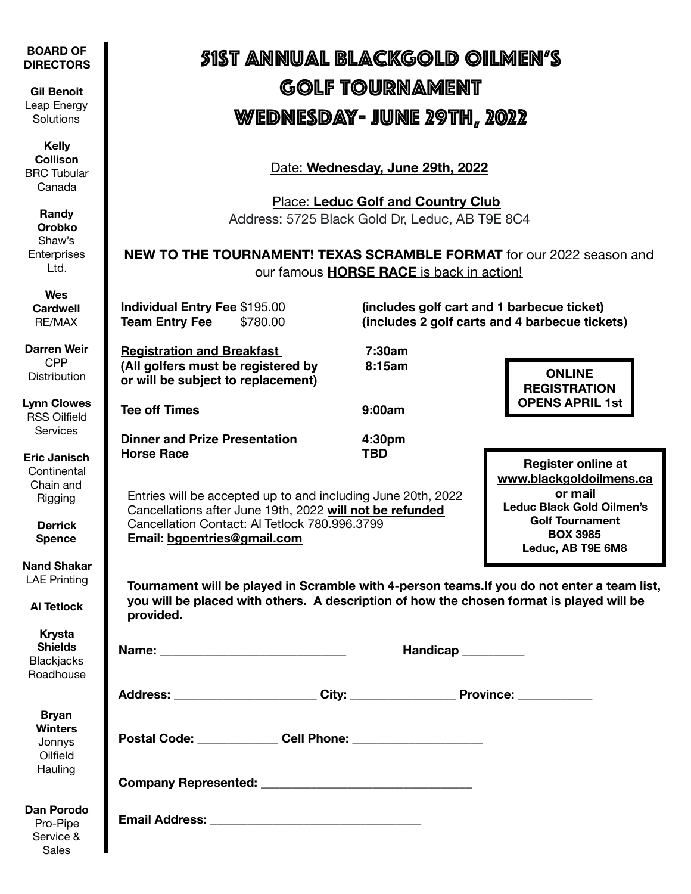| <b>BOARD OF</b><br><b>DIRECTORS</b>                                                           | <u>SIST ANNUAL BLACKGOLD OILMEN'S</u>                                                                                                                                                                                                       |                                            |                                                                                                                                                  |  |
|-----------------------------------------------------------------------------------------------|---------------------------------------------------------------------------------------------------------------------------------------------------------------------------------------------------------------------------------------------|--------------------------------------------|--------------------------------------------------------------------------------------------------------------------------------------------------|--|
| <b>Gil Benoit</b><br>Leap Energy<br>Solutions                                                 | GOLF TOURNAMENT<br><u>WEDNESDAY- JUNE 29TH, 2022</u>                                                                                                                                                                                        |                                            |                                                                                                                                                  |  |
| <b>Kelly</b><br><b>Collison</b><br><b>BRC</b> Tubular<br>Canada                               | Date: Wednesday, June 29th, 2022                                                                                                                                                                                                            |                                            |                                                                                                                                                  |  |
| Randy<br><b>Orobko</b><br>Shaw's<br>Enterprises<br>Ltd.                                       | <b>Place: Leduc Golf and Country Club</b><br>Address: 5725 Black Gold Dr, Leduc, AB T9E 8C4<br><b>NEW TO THE TOURNAMENT! TEXAS SCRAMBLE FORMAT for our 2022 season and</b><br>our famous <b>HORSE RACE</b> is back in action!               |                                            |                                                                                                                                                  |  |
| Wes<br><b>Cardwell</b><br>RE/MAX                                                              | <b>Individual Entry Fee \$195.00</b><br><b>Team Entry Fee</b><br>\$780.00                                                                                                                                                                   | (includes golf cart and 1 barbecue ticket) | (includes 2 golf carts and 4 barbecue tickets)                                                                                                   |  |
| <b>Darren Weir</b><br><b>CPP</b><br><b>Distribution</b>                                       | <b>Registration and Breakfast</b><br>(All golfers must be registered by<br>or will be subject to replacement)                                                                                                                               | 7:30am<br>8:15am                           | <b>ONLINE</b><br><b>REGISTRATION</b>                                                                                                             |  |
| <b>Lynn Clowes</b><br><b>RSS Oilfield</b><br><b>Services</b>                                  | <b>Tee off Times</b><br><b>Dinner and Prize Presentation</b>                                                                                                                                                                                | 9:00am<br>4:30pm                           | <b>OPENS APRIL 1st</b>                                                                                                                           |  |
| <b>Eric Janisch</b><br>Continental<br>Chain and<br>Rigging<br><b>Derrick</b><br><b>Spence</b> | <b>Horse Race</b><br><b>TBD</b><br>Entries will be accepted up to and including June 20th, 2022<br>Cancellations after June 19th, 2022 will not be refunded<br>Cancellation Contact: Al Tetlock 780.996.3799<br>Email: bgoentries@gmail.com |                                            | <b>Register online at</b><br>www.blackgoldoilmens.ca<br>or mail<br><b>Leduc Black Gold Oilmen's</b><br><b>Golf Tournament</b><br><b>BOX 3985</b> |  |
| <b>Nand Shakar</b><br><b>LAE Printing</b><br><b>Al Tetlock</b>                                | Leduc, AB T9E 6M8<br>Tournament will be played in Scramble with 4-person teams. If you do not enter a team list,<br>you will be placed with others. A description of how the chosen format is played will be<br>provided.                   |                                            |                                                                                                                                                  |  |
| <b>Krysta</b><br><b>Shields</b><br><b>Blackjacks</b><br>Roadhouse                             |                                                                                                                                                                                                                                             | Handicap <sub>_________</sub>              |                                                                                                                                                  |  |
|                                                                                               |                                                                                                                                                                                                                                             |                                            |                                                                                                                                                  |  |
| <b>Bryan</b><br><b>Winters</b><br>Jonnys<br>Oilfield<br>Hauling                               | Postal Code: Cell Phone: Cell 2008                                                                                                                                                                                                          |                                            |                                                                                                                                                  |  |
|                                                                                               |                                                                                                                                                                                                                                             |                                            |                                                                                                                                                  |  |
| <b>Dan Porodo</b><br>Pro-Pipe<br>Service &<br><b>Sales</b>                                    |                                                                                                                                                                                                                                             |                                            |                                                                                                                                                  |  |

Sales